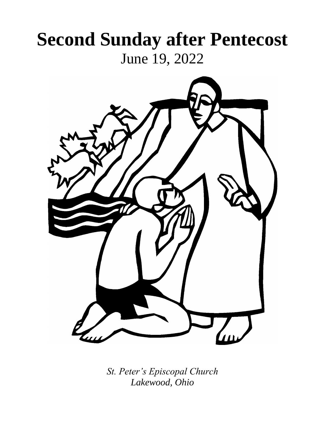# **Second Sunday after Pentecost** June 19, 2022



*St. Peter's Episcopal Church Lakewood, Ohio*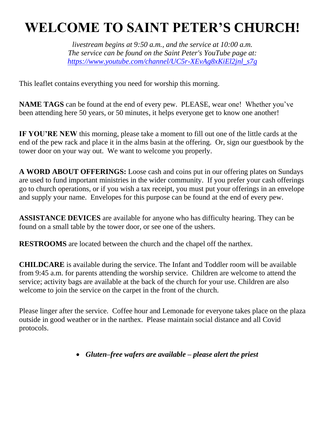# **WELCOME TO SAINT PETER'S CHURCH!**

*livestream begins at 9:50 a.m., and the service at 10:00 a.m. The service can be found on the Saint Peter's YouTube page at: [https://www.youtube.com/channel/UC5r-XEvAg8xKiEl2jnl\\_s7g](https://www.youtube.com/channel/UC5r-XEvAg8xKiEl2jnl_s7g)*

This leaflet contains everything you need for worship this morning.

**NAME TAGS** can be found at the end of every pew. PLEASE, wear one! Whether you've been attending here 50 years, or 50 minutes, it helps everyone get to know one another!

**IF YOU'RE NEW** this morning, please take a moment to fill out one of the little cards at the end of the pew rack and place it in the alms basin at the offering. Or, sign our guestbook by the tower door on your way out. We want to welcome you properly.

**A WORD ABOUT OFFERINGS:** Loose cash and coins put in our offering plates on Sundays are used to fund important ministries in the wider community. If you prefer your cash offerings go to church operations, or if you wish a tax receipt, you must put your offerings in an envelope and supply your name. Envelopes for this purpose can be found at the end of every pew.

**ASSISTANCE DEVICES** are available for anyone who has difficulty hearing. They can be found on a small table by the tower door, or see one of the ushers.

**RESTROOMS** are located between the church and the chapel off the narthex.

**CHILDCARE** is available during the service. The Infant and Toddler room will be available from 9:45 a.m. for parents attending the worship service. Children are welcome to attend the service; activity bags are available at the back of the church for your use. Children are also welcome to join the service on the carpet in the front of the church.

Please linger after the service. Coffee hour and Lemonade for everyone takes place on the plaza outside in good weather or in the narthex. Please maintain social distance and all Covid protocols.

• *Gluten–free wafers are available – please alert the priest*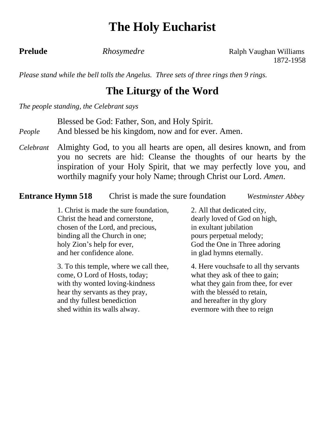## **The Holy Eucharist**

**Prelude** *Rhosymedre* Ralph Vaughan Williams 1872-1958

*Please stand while the bell tolls the Angelus. Three sets of three rings then 9 rings.*

## **The Liturgy of the Word**

*The people standing, the Celebrant says*

Blessed be God: Father, Son, and Holy Spirit. *People* And blessed be his kingdom, now and for ever. Amen.

*Celebrant* Almighty God, to you all hearts are open, all desires known, and from you no secrets are hid: Cleanse the thoughts of our hearts by the inspiration of your Holy Spirit, that we may perfectly love you, and worthily magnify your holy Name; through Christ our Lord. *Amen*.

**Entrance Hymn 518** Christ is made the sure foundation *Westminster Abbey*

1. Christ is made the sure foundation, 2. All that dedicated city, Christ the head and cornerstone, dearly loved of God on high, chosen of the Lord, and precious, in exultant jubilation binding all the Church in one; pours perpetual melody; holy Zion's help for ever, God the One in Three adoring and her confidence alone. in glad hymns eternally.

3. To this temple, where we call thee, 4. Here vouchsafe to all thy servants come, O Lord of Hosts, today; what they ask of thee to gain; with thy wonted loving-kindness what they gain from thee, for ever hear thy servants as they pray, with the blessed to retain, and thy fullest benediction and hereafter in thy glory shed within its walls alway. evermore with thee to reign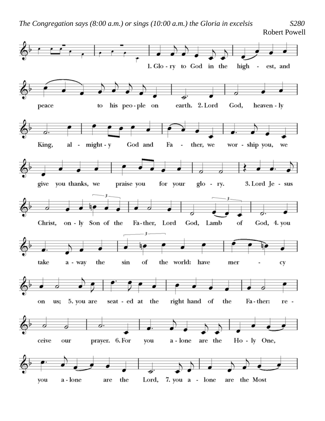*The Congregation says (8:00 a.m.) or sings (10:00 a.m.) the Gloria in excelsis S280*

Robert Powell

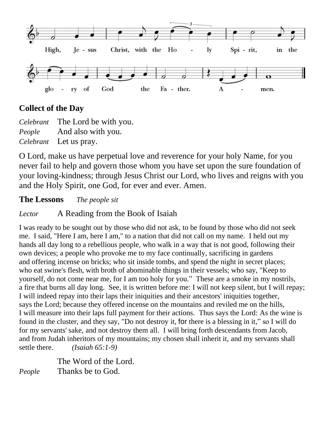

## **Collect of the Day**

*Celebrant* The Lord be with you. *People* And also with you. *Celebrant* Let us pray.

O Lord, make us have perpetual love and reverence for your holy Name, for you never fail to help and govern those whom you have set upon the sure foundation of your loving-kindness; through Jesus Christ our Lord, who lives and reigns with you and the Holy Spirit, one God, for ever and ever. Amen.

**The Lessons** *The people sit*

*Lector* A Reading from the Book of Isaiah

I was ready to be sought out by those who did not ask, to be found by those who did not seek me. I said, "Here I am, here I am," to a nation that did not call on my name. I held out my hands all day long to a rebellious people, who walk in a way that is not good, following their own devices; a people who provoke me to my face continually, sacrificing in gardens and offering incense on bricks; who sit inside tombs, and spend the night in secret places; who eat swine's flesh, with broth of abominable things in their vessels; who say, "Keep to yourself, do not come near me, for I am too holy for you." These are a smoke in my nostrils, a fire that burns all day long. See, it is written before me: I will not keep silent, but I will repay; I will indeed repay into their laps their iniquities and their ancestors' iniquities together, says the Lord; because they offered incense on the mountains and reviled me on the hills, I will measure into their laps full payment for their actions. Thus says the Lord: As the wine is found in the cluster, and they say, "Do not destroy it, for there is a blessing in it," so I will do for my servants' sake, and not destroy them all. I will bring forth descendants from Jacob, and from Judah inheritors of my mountains; my chosen shall inherit it, and my servants shall settle there.*(Isaiah 65:1-9)*

The Word of the Lord. *People* Thanks be to God.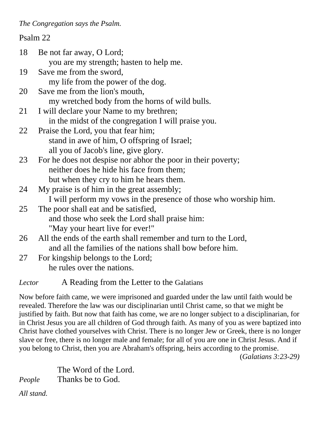*The Congregation says the Psalm.* 

## Psalm 22

| 18 | Be not far away, O Lord;                                         |
|----|------------------------------------------------------------------|
|    | you are my strength; hasten to help me.                          |
| 19 | Save me from the sword,                                          |
|    | my life from the power of the dog.                               |
| 20 | Save me from the lion's mouth,                                   |
|    | my wretched body from the horns of wild bulls.                   |
| 21 | I will declare your Name to my brethren;                         |
|    | in the midst of the congregation I will praise you.              |
| 22 | Praise the Lord, you that fear him;                              |
|    | stand in awe of him, O offspring of Israel;                      |
|    | all you of Jacob's line, give glory.                             |
| 23 | For he does not despise nor abhor the poor in their poverty;     |
|    | neither does he hide his face from them;                         |
|    | but when they cry to him he hears them.                          |
| 24 | My praise is of him in the great assembly;                       |
|    | I will perform my vows in the presence of those who worship him. |
| 25 | The poor shall eat and be satisfied,                             |
|    | and those who seek the Lord shall praise him:                    |
|    | "May your heart live for ever!"                                  |
| 26 | All the ends of the earth shall remember and turn to the Lord,   |
|    | and all the families of the nations shall bow before him.        |
| 27 | For kingship belongs to the Lord;                                |

he rules over the nations.

*Lector* A Reading from the Letter to the Galatians

Now before faith came, we were imprisoned and guarded under the law until faith would be revealed. Therefore the law was our disciplinarian until Christ came, so that we might be justified by faith. But now that faith has come, we are no longer subject to a disciplinarian, for in Christ Jesus you are all children of God through faith. As many of you as were baptized into Christ have clothed yourselves with Christ. There is no longer Jew or Greek, there is no longer slave or free, there is no longer male and female; for all of you are one in Christ Jesus. And if you belong to Christ, then you are Abraham's offspring, heirs according to the promise.

(*Galatians 3:23-29)*

The Word of the Lord. *People* Thanks be to God.

*All stand.*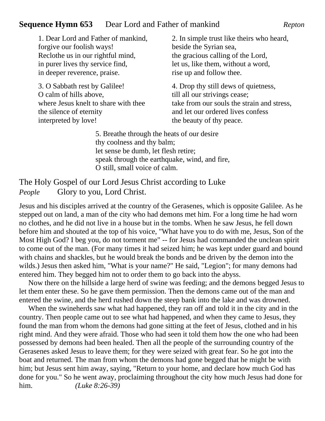#### **Sequence Hymn 653** Dear Lord and Father of mankind *Repton*

forgive our foolish ways! beside the Syrian sea, Reclothe us in our rightful mind, the gracious calling of the Lord, in purer lives thy service find, let us, like them, without a word, in deeper reverence, praise. rise up and follow thee.

3. O Sabbath rest by Galilee! 4. Drop thy still dews of quietness, O calm of hills above, till all our strivings cease; the silence of eternity and let our ordered lives confess interpreted by love! the beauty of thy peace.

1. Dear Lord and Father of mankind, 2. In simple trust like theirs who heard,

where Jesus knelt to share with thee take from our souls the strain and stress,

5. Breathe through the heats of our desire thy coolness and thy balm; let sense be dumb, let flesh retire; speak through the earthquake, wind, and fire, O still, small voice of calm.

## The Holy Gospel of our Lord Jesus Christ according to Luke *People* Glory to you, Lord Christ.

Jesus and his disciples arrived at the country of the Gerasenes, which is opposite Galilee. As he stepped out on land, a man of the city who had demons met him. For a long time he had worn no clothes, and he did not live in a house but in the tombs. When he saw Jesus, he fell down before him and shouted at the top of his voice, "What have you to do with me, Jesus, Son of the Most High God? I beg you, do not torment me" -- for Jesus had commanded the unclean spirit to come out of the man. (For many times it had seized him; he was kept under guard and bound with chains and shackles, but he would break the bonds and be driven by the demon into the wilds.) Jesus then asked him, "What is your name?" He said, "Legion"; for many demons had entered him. They begged him not to order them to go back into the abyss.

 Now there on the hillside a large herd of swine was feeding; and the demons begged Jesus to let them enter these. So he gave them permission. Then the demons came out of the man and entered the swine, and the herd rushed down the steep bank into the lake and was drowned.

 When the swineherds saw what had happened, they ran off and told it in the city and in the country. Then people came out to see what had happened, and when they came to Jesus, they found the man from whom the demons had gone sitting at the feet of Jesus, clothed and in his right mind. And they were afraid. Those who had seen it told them how the one who had been possessed by demons had been healed. Then all the people of the surrounding country of the Gerasenes asked Jesus to leave them; for they were seized with great fear. So he got into the boat and returned. The man from whom the demons had gone begged that he might be with him; but Jesus sent him away, saying, "Return to your home, and declare how much God has done for you." So he went away, proclaiming throughout the city how much Jesus had done for him. *(Luke 8:26-39)*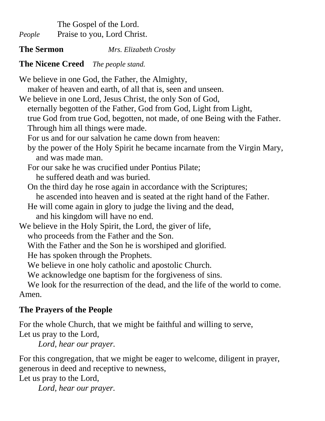The Gospel of the Lord. *People* Praise to you, Lord Christ.

**The Sermon** *Mrs. Elizabeth Crosby*

## **The Nicene Creed** *The people stand.*

We believe in one God, the Father, the Almighty, maker of heaven and earth, of all that is, seen and unseen. We believe in one Lord, Jesus Christ, the only Son of God, eternally begotten of the Father, God from God, Light from Light, true God from true God, begotten, not made, of one Being with the Father. Through him all things were made. For us and for our salvation he came down from heaven: by the power of the Holy Spirit he became incarnate from the Virgin Mary, and was made man. For our sake he was crucified under Pontius Pilate; he suffered death and was buried. On the third day he rose again in accordance with the Scriptures; he ascended into heaven and is seated at the right hand of the Father. He will come again in glory to judge the living and the dead, and his kingdom will have no end. We believe in the Holy Spirit, the Lord, the giver of life, who proceeds from the Father and the Son. With the Father and the Son he is worshiped and glorified. He has spoken through the Prophets. We believe in one holy catholic and apostolic Church. We acknowledge one baptism for the forgiveness of sins. We look for the resurrection of the dead, and the life of the world to come. Amen.

## **The Prayers of the People**

For the whole Church, that we might be faithful and willing to serve, Let us pray to the Lord,

*Lord, hear our prayer.*

For this congregation, that we might be eager to welcome, diligent in prayer, generous in deed and receptive to newness,

Let us pray to the Lord,

*Lord, hear our prayer.*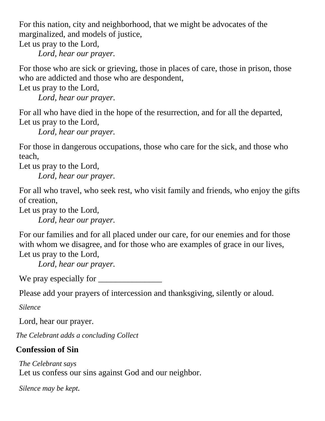For this nation, city and neighborhood, that we might be advocates of the marginalized, and models of justice,

Let us pray to the Lord,

*Lord, hear our prayer.*

For those who are sick or grieving, those in places of care, those in prison, those who are addicted and those who are despondent,

Let us pray to the Lord,

*Lord, hear our prayer.*

For all who have died in the hope of the resurrection, and for all the departed, Let us pray to the Lord,

*Lord, hear our prayer.*

For those in dangerous occupations, those who care for the sick, and those who teach,

Let us pray to the Lord,

*Lord, hear our prayer.*

For all who travel, who seek rest, who visit family and friends, who enjoy the gifts of creation,

Let us pray to the Lord,

*Lord, hear our prayer.*

For our families and for all placed under our care, for our enemies and for those with whom we disagree, and for those who are examples of grace in our lives, Let us pray to the Lord,

*Lord, hear our prayer.*

We pray especially for

Please add your prayers of intercession and thanksgiving, silently or aloud.

*Silence*

Lord, hear our prayer.

*The Celebrant adds a concluding Collect*

#### **Confession of Sin**

*The Celebrant says* Let us confess our sins against God and our neighbor.

*Silence may be kept.*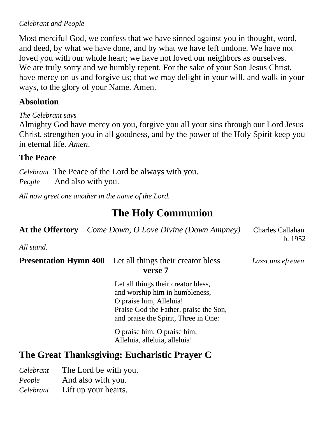#### *Celebrant and People*

Most merciful God, we confess that we have sinned against you in thought, word, and deed, by what we have done, and by what we have left undone. We have not loved you with our whole heart; we have not loved our neighbors as ourselves. We are truly sorry and we humbly repent. For the sake of your Son Jesus Christ, have mercy on us and forgive us; that we may delight in your will, and walk in your ways, to the glory of your Name. Amen.

## **Absolution**

#### *The Celebrant says*

Almighty God have mercy on you, forgive you all your sins through our Lord Jesus Christ, strengthen you in all goodness, and by the power of the Holy Spirit keep you in eternal life. *Amen*.

### **The Peace**

*Celebrant* The Peace of the Lord be always with you. *People* And also with you.

*All now greet one another in the name of the Lord.*

## **The Holy Communion**

**At the Offertory** *Come Down, O Love Divine (Down Ampney)* Charles Callahan b. 1952

*All stand.*

**Presentation Hymn 400** Let all things their creator bless *Lasst uns efreuen* **verse 7**

Let all things their creator bless, and worship him in humbleness, O praise him, Alleluia! Praise God the Father, praise the Son, and praise the Spirit, Three in One:

O praise him, O praise him, Alleluia, alleluia, alleluia!

## **The Great Thanksgiving: Eucharistic Prayer C**

| Celebrant | The Lord be with you. |
|-----------|-----------------------|
| People    | And also with you.    |
| Celebrant | Lift up your hearts.  |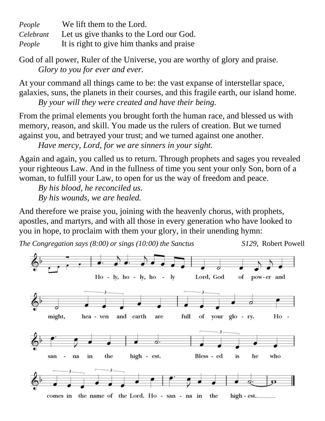| People    | We lift them to the Lord.                 |
|-----------|-------------------------------------------|
| Celebrant | Let us give thanks to the Lord our God.   |
| People    | It is right to give him thanks and praise |

God of all power, Ruler of the Universe, you are worthy of glory and praise. *Glory to you for ever and ever.*

At your command all things came to be: the vast expanse of interstellar space, galaxies, suns, the planets in their courses, and this fragile earth, our island home.

*By your will they were created and have their being.*

From the primal elements you brought forth the human race, and blessed us with memory, reason, and skill. You made us the rulers of creation. But we turned against you, and betrayed your trust; and we turned against one another.

*Have mercy, Lord, for we are sinners in your sight.*

Again and again, you called us to return. Through prophets and sages you revealed your righteous Law. And in the fullness of time you sent your only Son, born of a woman, to fulfill your Law, to open for us the way of freedom and peace.

*By his blood, he reconciled us.*

*By his wounds, we are healed.*

And therefore we praise you, joining with the heavenly chorus, with prophets, apostles, and martyrs, and with all those in every generation who have looked to you in hope, to proclaim with them your glory, in their unending hymn:

*The Congregation says (8:00) or sings (10:00) the Sanctus S129, Robert Powell* 

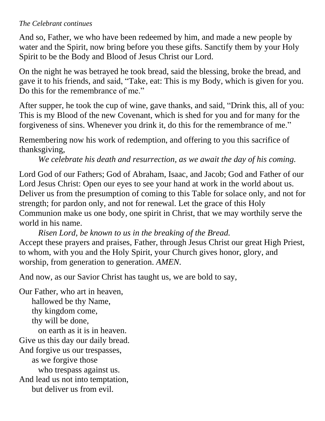#### *The Celebrant continues*

And so, Father, we who have been redeemed by him, and made a new people by water and the Spirit, now bring before you these gifts. Sanctify them by your Holy Spirit to be the Body and Blood of Jesus Christ our Lord.

On the night he was betrayed he took bread, said the blessing, broke the bread, and gave it to his friends, and said, "Take, eat: This is my Body, which is given for you. Do this for the remembrance of me."

After supper, he took the cup of wine, gave thanks, and said, "Drink this, all of you: This is my Blood of the new Covenant, which is shed for you and for many for the forgiveness of sins. Whenever you drink it, do this for the remembrance of me."

Remembering now his work of redemption, and offering to you this sacrifice of thanksgiving,

*We celebrate his death and resurrection, as we await the day of his coming.*

Lord God of our Fathers; God of Abraham, Isaac, and Jacob; God and Father of our Lord Jesus Christ: Open our eyes to see your hand at work in the world about us. Deliver us from the presumption of coming to this Table for solace only, and not for strength; for pardon only, and not for renewal. Let the grace of this Holy Communion make us one body, one spirit in Christ, that we may worthily serve the world in his name.

*Risen Lord, be known to us in the breaking of the Bread.* Accept these prayers and praises, Father, through Jesus Christ our great High Priest, to whom, with you and the Holy Spirit, your Church gives honor, glory, and worship, from generation to generation. *AMEN*.

And now, as our Savior Christ has taught us, we are bold to say,

Our Father, who art in heaven, hallowed be thy Name, thy kingdom come, thy will be done, on earth as it is in heaven. Give us this day our daily bread. And forgive us our trespasses, as we forgive those who trespass against us. And lead us not into temptation, but deliver us from evil.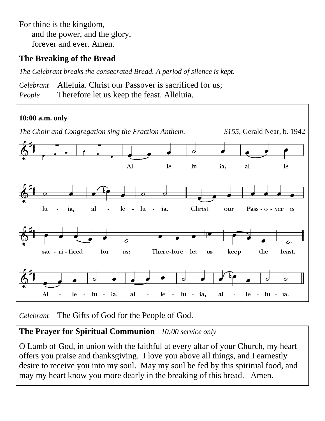For thine is the kingdom, and the power, and the glory, forever and ever. Amen.

## **The Breaking of the Bread**

*The Celebrant breaks the consecrated Bread. A period of silence is kept.*

*Celebrant* Alleluia. Christ our Passover is sacrificed for us; *People* Therefore let us keep the feast. Alleluia.



*Celebrant* The Gifts of God for the People of God.

## **The Prayer for Spiritual Communion** *10:00 service only*

O Lamb of God, in union with the faithful at every altar of your Church, my heart offers you praise and thanksgiving. I love you above all things, and I earnestly desire to receive you into my soul. May my soul be fed by this spiritual food, and may my heart know you more dearly in the breaking of this bread. Amen.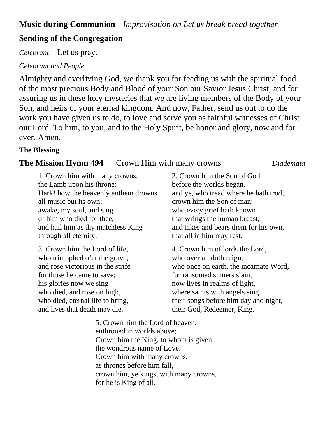## **Music during Communion** *Improvisation on Let us break bread together*

### **Sending of the Congregation**

*Celebrant* Let us pray.

#### *Celebrant and People*

Almighty and everliving God, we thank you for feeding us with the spiritual food of the most precious Body and Blood of your Son our Savior Jesus Christ; and for assuring us in these holy mysteries that we are living members of the Body of your Son, and heirs of your eternal kingdom. And now, Father, send us out to do the work you have given us to do, to love and serve you as faithful witnesses of Christ our Lord. To him, to you, and to the Holy Spirit, be honor and glory, now and for ever. Amen.

#### **The Blessing**

#### **The Mission Hymn 494** Crown Him with many crowns *Diademata*

1. Crown him with many crowns, 2. Crown him the Son of God the Lamb upon his throne; before the worlds began, Hark! how the heavenly anthem drowns and ye, who tread where he hath trod, all music but its own; crown him the Son of man; awake, my soul, and sing who every grief hath known of him who died for thee, that wrings the human breast, and hail him as thy matchless King and takes and bears them for his own, through all eternity. that all in him may rest.

who triumphed o'er the grave, who over all doth reign, for those he came to save; for ransomed sinners slain, his glories now we sing now lives in realms of light, who died, and rose on high, where saints with angels sing and lives that death may die. their God, Redeemer, King.

3. Crown him the Lord of life, 4. Crown him of lords the Lord, and rose victorious in the strife who once on earth, the incarnate Word, who died, eternal life to bring, their songs before him day and night,

> 5. Crown him the Lord of heaven, enthroned in worlds above; Crown him the King, to whom is given the wondrous name of Love. Crown him with many crowns, as thrones before him fall, crown him, ye kings, with many crowns, for he is King of all.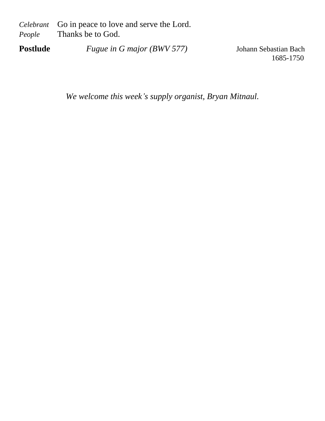*Celebrant* Go in peace to love and serve the Lord. *People* Thanks be to God.

**Postlude** *Fugue in G major (BWV 577)* Johann Sebastian Bach

1685-1750

*We welcome this week's supply organist, Bryan Mitnaul.*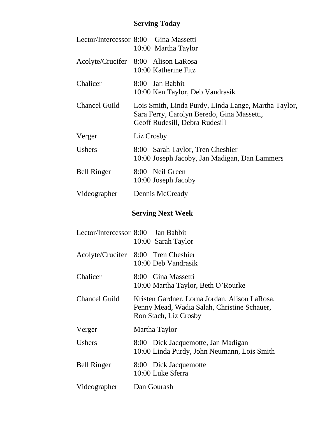## **Serving Today**

|                          | Lector/Intercessor 8:00 Gina Massetti<br>10:00 Martha Taylor                                                                         |  |  |  |
|--------------------------|--------------------------------------------------------------------------------------------------------------------------------------|--|--|--|
|                          | Acolyte/Crucifer 8:00 Alison LaRosa<br>10:00 Katherine Fitz                                                                          |  |  |  |
| Chalicer                 | 8:00 Jan Babbit<br>10:00 Ken Taylor, Deb Vandrasik                                                                                   |  |  |  |
| <b>Chancel Guild</b>     | Lois Smith, Linda Purdy, Linda Lange, Martha Taylor,<br>Sara Ferry, Carolyn Beredo, Gina Massetti,<br>Geoff Rudesill, Debra Rudesill |  |  |  |
| Verger                   | Liz Crosby                                                                                                                           |  |  |  |
| Ushers                   | 8:00 Sarah Taylor, Tren Cheshier<br>10:00 Joseph Jacoby, Jan Madigan, Dan Lammers                                                    |  |  |  |
| <b>Bell Ringer</b>       | 8:00 Neil Green<br>10:00 Joseph Jacoby                                                                                               |  |  |  |
| Videographer             | Dennis McCready                                                                                                                      |  |  |  |
| <b>Serving Next Week</b> |                                                                                                                                      |  |  |  |
|                          | Lector/Intercessor 8:00 Jan Babbit<br>10:00 Sarah Taylor                                                                             |  |  |  |
|                          | Acolyte/Crucifer 8:00 Tren Cheshier<br>10:00 Deb Vandrasik                                                                           |  |  |  |
| Chalicer                 | 8:00<br>Gina Massetti<br>10:00 Martha Taylor, Beth O'Rourke                                                                          |  |  |  |
| <b>Chancel Guild</b>     | Kristen Gardner, Lorna Jordan, Alison LaRosa,<br>Penny Mead, Wadia Salah, Christine Schauer,<br>Ron Stach, Liz Crosby                |  |  |  |
| Verger                   | Martha Taylor                                                                                                                        |  |  |  |
| Ushers                   | 8:00 Dick Jacquemotte, Jan Madigan<br>10:00 Linda Purdy, John Neumann, Lois Smith                                                    |  |  |  |
| <b>Bell Ringer</b>       | 8:00 Dick Jacquemotte<br>10:00 Luke Sferra                                                                                           |  |  |  |
| Videographer             |                                                                                                                                      |  |  |  |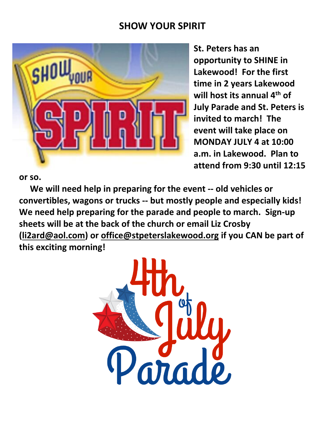## **SHOW YOUR SPIRIT**



**St. Peters has an opportunity to SHINE in Lakewood! For the first time in 2 years Lakewood will host its annual 4th of July Parade and St. Peters is invited to march! The event will take place on MONDAY JULY 4 at 10:00 a.m. in Lakewood. Plan to attend from 9:30 until 12:15** 

**or so.**

 **We will need help in preparing for the event -- old vehicles or convertibles, wagons or trucks -- but mostly people and especially kids! We need help preparing for the parade and people to march. Sign-up sheets will be at the back of the church or email Liz Crosby [\(li2ard@aol.com\)](mailto:li2ard@aol.com) or [office@stpeterslakewood.org](mailto:office@stpeterslakewood.org) if you CAN be part of this exciting morning!**

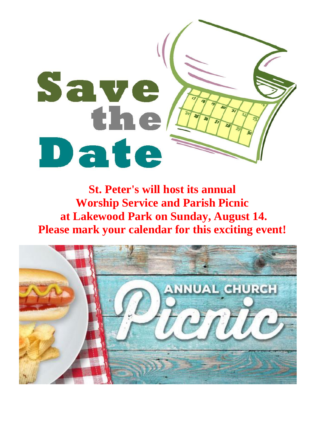

**St. Peter's will host its annual Worship Service and Parish Picnic at Lakewood Park on Sunday, August 14. Please mark your calendar for this exciting event!**